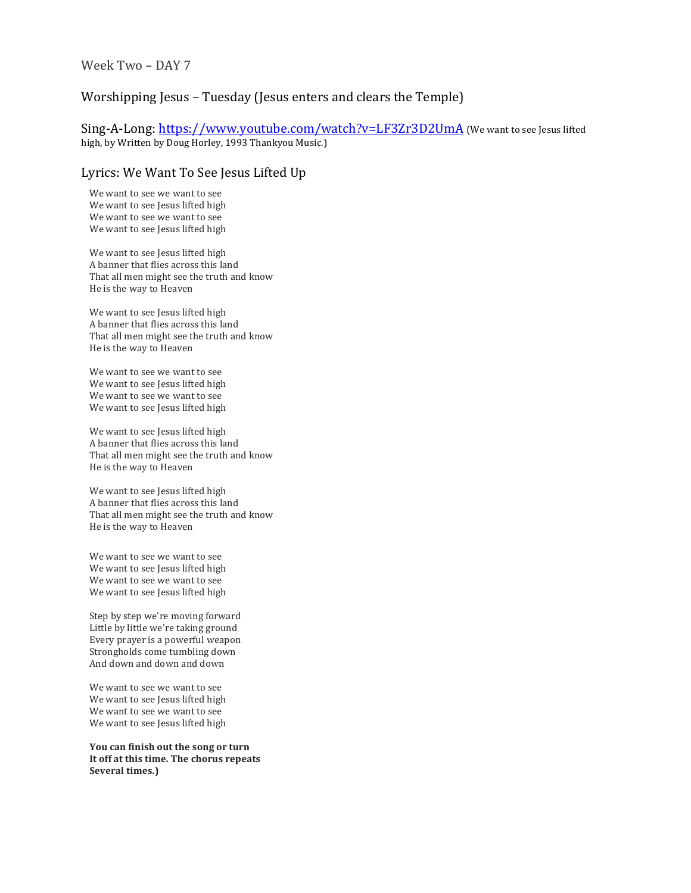## Worshipping Jesus – Tuesday (Jesus enters and clears the Temple)

Sing-A-Long: https://www.youtube.com/watch?v=LF3Zr3D2UmA (We want to see Jesus lifted high, by Written by Doug Horley, 1993 Thankyou Music.)

## Lyrics: We Want To See Jesus Lifted Up

We want to see we want to see We want to see Jesus lifted high We want to see we want to see We want to see Jesus lifted high

We want to see Jesus lifted high A banner that flies across this land That all men might see the truth and know He is the way to Heaven

We want to see Jesus lifted high A banner that flies across this land That all men might see the truth and know He is the way to Heaven

We want to see we want to see We want to see Jesus lifted high We want to see we want to see We want to see Jesus lifted high

We want to see Jesus lifted high A banner that flies across this land That all men might see the truth and know He is the way to Heaven

We want to see Jesus lifted high A banner that flies across this land That all men might see the truth and know He is the way to Heaven

We want to see we want to see We want to see Jesus lifted high We want to see we want to see We want to see Jesus lifted high

Step by step we're moving forward Little by little we're taking ground Every prayer is a powerful weapon Strongholds come tumbling down And down and down and down

We want to see we want to see We want to see Jesus lifted high We want to see we want to see We want to see Jesus lifted high

**You can finish out the song or turn** It off at this time. The chorus repeats Several times.)